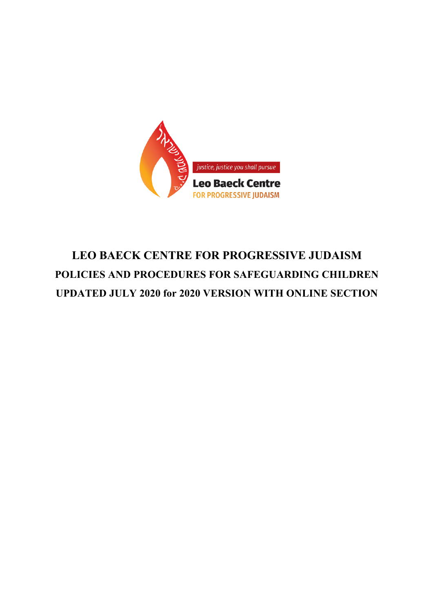

# **LEO BAECK CENTRE FOR PROGRESSIVE JUDAISM POLICIES AND PROCEDURES FOR SAFEGUARDING CHILDREN UPDATED JULY 2020 for 2020 VERSION WITH ONLINE SECTION**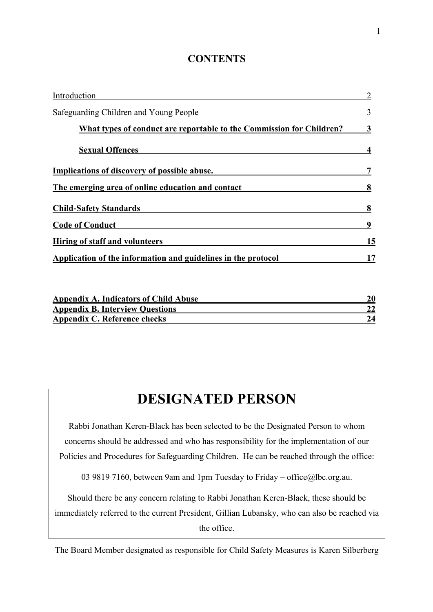### **CONTENTS**

| Introduction                                                         |    |
|----------------------------------------------------------------------|----|
| Safeguarding Children and Young People                               |    |
| What types of conduct are reportable to the Commission for Children? |    |
| <b>Sexual Offences</b>                                               |    |
| Implications of discovery of possible abuse.                         |    |
| The emerging area of online education and contact                    |    |
| <b>Child-Safety Standards</b>                                        |    |
| <b>Code of Conduct</b>                                               |    |
| Hiring of staff and volunteers                                       | 15 |
| Application of the information and guidelines in the protocol        |    |

| <b>Appendix A. Indicators of Child Abuse</b> |  |
|----------------------------------------------|--|
| <b>Appendix B. Interview Questions</b>       |  |
| Appendix C. Reference checks                 |  |

# **DESIGNATED PERSON**

Rabbi Jonathan Keren-Black has been selected to be the Designated Person to whom concerns should be addressed and who has responsibility for the implementation of our Policies and Procedures for Safeguarding Children. He can be reached through the office:

03 9819 7160, between 9am and 1pm Tuesday to Friday – office@lbc.org.au.

Should there be any concern relating to Rabbi Jonathan Keren-Black, these should be immediately referred to the current President, Gillian Lubansky, who can also be reached via the office.

The Board Member designated as responsible for Child Safety Measures is Karen Silberberg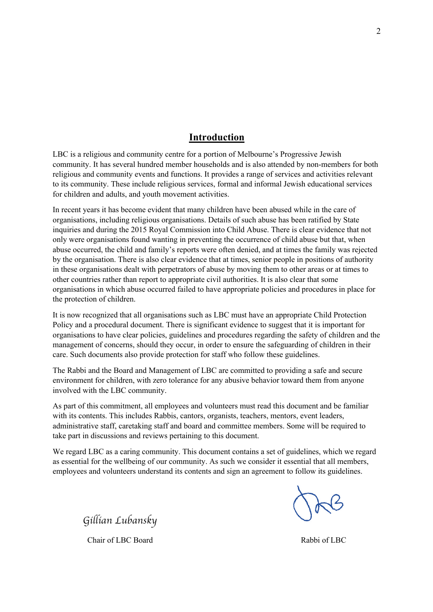#### **Introduction**

LBC is a religious and community centre for a portion of Melbourne's Progressive Jewish community. It has several hundred member households and is also attended by non-members for both religious and community events and functions. It provides a range of services and activities relevant to its community. These include religious services, formal and informal Jewish educational services for children and adults, and youth movement activities.

In recent years it has become evident that many children have been abused while in the care of organisations, including religious organisations. Details of such abuse has been ratified by State inquiries and during the 2015 Royal Commission into Child Abuse. There is clear evidence that not only were organisations found wanting in preventing the occurrence of child abuse but that, when abuse occurred, the child and family's reports were often denied, and at times the family was rejected by the organisation. There is also clear evidence that at times, senior people in positions of authority in these organisations dealt with perpetrators of abuse by moving them to other areas or at times to other countries rather than report to appropriate civil authorities. It is also clear that some organisations in which abuse occurred failed to have appropriate policies and procedures in place for the protection of children.

It is now recognized that all organisations such as LBC must have an appropriate Child Protection Policy and a procedural document. There is significant evidence to suggest that it is important for organisations to have clear policies, guidelines and procedures regarding the safety of children and the management of concerns, should they occur, in order to ensure the safeguarding of children in their care. Such documents also provide protection for staff who follow these guidelines.

The Rabbi and the Board and Management of LBC are committed to providing a safe and secure environment for children, with zero tolerance for any abusive behavior toward them from anyone involved with the LBC community.

As part of this commitment, all employees and volunteers must read this document and be familiar with its contents. This includes Rabbis, cantors, organists, teachers, mentors, event leaders, administrative staff, caretaking staff and board and committee members. Some will be required to take part in discussions and reviews pertaining to this document.

We regard LBC as a caring community. This document contains a set of guidelines, which we regard as essential for the wellbeing of our community. As such we consider it essential that all members, employees and volunteers understand its contents and sign an agreement to follow its guidelines.

*Gillian Lubansky*

Chair of LBC Board Rabbi of LBC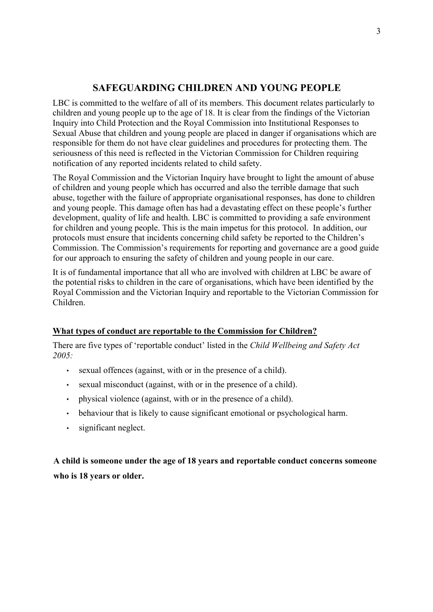### **SAFEGUARDING CHILDREN AND YOUNG PEOPLE**

LBC is committed to the welfare of all of its members. This document relates particularly to children and young people up to the age of 18. It is clear from the findings of the Victorian Inquiry into Child Protection and the Royal Commission into Institutional Responses to Sexual Abuse that children and young people are placed in danger if organisations which are responsible for them do not have clear guidelines and procedures for protecting them. The seriousness of this need is reflected in the Victorian Commission for Children requiring notification of any reported incidents related to child safety.

The Royal Commission and the Victorian Inquiry have brought to light the amount of abuse of children and young people which has occurred and also the terrible damage that such abuse, together with the failure of appropriate organisational responses, has done to children and young people. This damage often has had a devastating effect on these people's further development, quality of life and health. LBC is committed to providing a safe environment for children and young people. This is the main impetus for this protocol. In addition, our protocols must ensure that incidents concerning child safety be reported to the Children's Commission. The Commission's requirements for reporting and governance are a good guide for our approach to ensuring the safety of children and young people in our care.

It is of fundamental importance that all who are involved with children at LBC be aware of the potential risks to children in the care of organisations, which have been identified by the Royal Commission and the Victorian Inquiry and reportable to the Victorian Commission for Children.

#### **What types of conduct are reportable to the Commission for Children?**

There are five types of 'reportable conduct' listed in the *Child Wellbeing and Safety Act 2005:*

- sexual offences (against, with or in the presence of a child).
- sexual misconduct (against, with or in the presence of a child).
- physical violence (against, with or in the presence of a child).
- behaviour that is likely to cause significant emotional or psychological harm.
- significant neglect.

## **A child is someone under the age of 18 years and reportable conduct concerns someone who is 18 years or older.**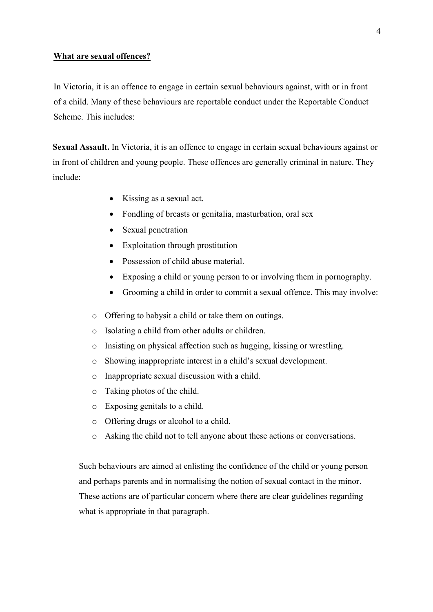#### **What are sexual offences?**

In Victoria, it is an offence to engage in certain sexual behaviours against, with or in front of a child. Many of these behaviours are reportable conduct under the Reportable Conduct Scheme. This includes:

**Sexual Assault.** In Victoria, it is an offence to engage in certain sexual behaviours against or in front of children and young people. These offences are generally criminal in nature. They include:

- Kissing as a sexual act.
- Fondling of breasts or genitalia, masturbation, oral sex
- Sexual penetration
- Exploitation through prostitution
- Possession of child abuse material.
- Exposing a child or young person to or involving them in pornography.
- Grooming a child in order to commit a sexual offence. This may involve:
- o Offering to babysit a child or take them on outings.
- o Isolating a child from other adults or children.
- o Insisting on physical affection such as hugging, kissing or wrestling.
- o Showing inappropriate interest in a child's sexual development.
- o Inappropriate sexual discussion with a child.
- o Taking photos of the child.
- o Exposing genitals to a child.
- o Offering drugs or alcohol to a child.
- o Asking the child not to tell anyone about these actions or conversations.

Such behaviours are aimed at enlisting the confidence of the child or young person and perhaps parents and in normalising the notion of sexual contact in the minor. These actions are of particular concern where there are clear guidelines regarding what is appropriate in that paragraph.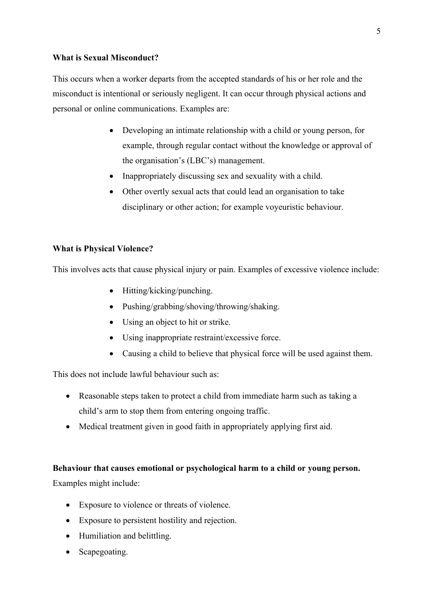#### **What is Sexual Misconduct?**

This occurs when a worker departs from the accepted standards of his or her role and the misconduct is intentional or seriously negligent. It can occur through physical actions and personal or online communications. Examples are:

- Developing an intimate relationship with a child or young person, for example, through regular contact without the knowledge or approval of the organisation's (LBC's) management.
- Inappropriately discussing sex and sexuality with a child.
- Other overtly sexual acts that could lead an organisation to take disciplinary or other action; for example voyeuristic behaviour.

#### **What is Physical Violence?**

This involves acts that cause physical injury or pain. Examples of excessive violence include:

- Hitting/kicking/punching.
- Pushing/grabbing/shoving/throwing/shaking.
- Using an object to hit or strike.
- Using inappropriate restraint/excessive force.
- Causing a child to believe that physical force will be used against them.

This does not include lawful behaviour such as:

- Reasonable steps taken to protect a child from immediate harm such as taking a child's arm to stop them from entering ongoing traffic.
- Medical treatment given in good faith in appropriately applying first aid.

#### **Behaviour that causes emotional or psychological harm to a child or young person.**

Examples might include:

- Exposure to violence or threats of violence.
- Exposure to persistent hostility and rejection.
- Humiliation and belittling.
- Scapegoating.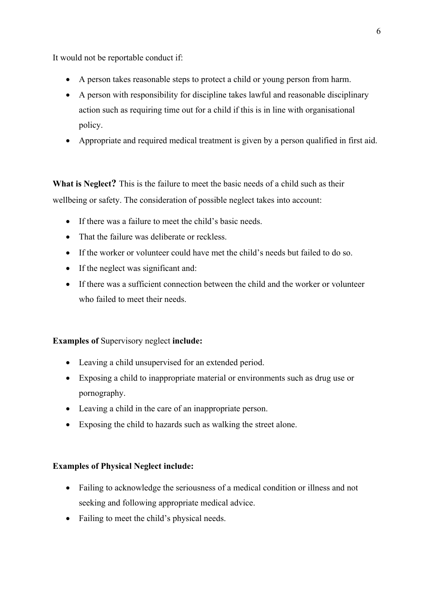It would not be reportable conduct if:

- A person takes reasonable steps to protect a child or young person from harm.
- A person with responsibility for discipline takes lawful and reasonable disciplinary action such as requiring time out for a child if this is in line with organisational policy.
- Appropriate and required medical treatment is given by a person qualified in first aid.

**What is Neglect?** This is the failure to meet the basic needs of a child such as their wellbeing or safety. The consideration of possible neglect takes into account:

- If there was a failure to meet the child's basic needs.
- That the failure was deliberate or reckless.
- If the worker or volunteer could have met the child's needs but failed to do so.
- If the neglect was significant and:
- If there was a sufficient connection between the child and the worker or volunteer who failed to meet their needs.

**Examples of** Supervisory neglect **include:**

- Leaving a child unsupervised for an extended period.
- Exposing a child to inappropriate material or environments such as drug use or pornography.
- Leaving a child in the care of an inappropriate person.
- Exposing the child to hazards such as walking the street alone.

#### **Examples of Physical Neglect include:**

- Failing to acknowledge the seriousness of a medical condition or illness and not seeking and following appropriate medical advice.
- Failing to meet the child's physical needs.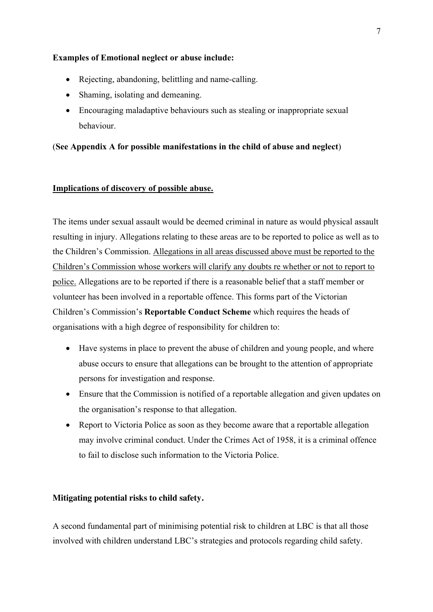#### **Examples of Emotional neglect or abuse include:**

- Rejecting, abandoning, belittling and name-calling.
- Shaming, isolating and demeaning.
- Encouraging maladaptive behaviours such as stealing or inappropriate sexual behaviour.

#### (**See Appendix A for possible manifestations in the child of abuse and neglect**)

#### **Implications of discovery of possible abuse.**

The items under sexual assault would be deemed criminal in nature as would physical assault resulting in injury. Allegations relating to these areas are to be reported to police as well as to the Children's Commission. Allegations in all areas discussed above must be reported to the Children's Commission whose workers will clarify any doubts re whether or not to report to police. Allegations are to be reported if there is a reasonable belief that a staff member or volunteer has been involved in a reportable offence. This forms part of the Victorian Children's Commission's **Reportable Conduct Scheme** which requires the heads of organisations with a high degree of responsibility for children to:

- Have systems in place to prevent the abuse of children and young people, and where abuse occurs to ensure that allegations can be brought to the attention of appropriate persons for investigation and response.
- Ensure that the Commission is notified of a reportable allegation and given updates on the organisation's response to that allegation.
- Report to Victoria Police as soon as they become aware that a reportable allegation may involve criminal conduct. Under the Crimes Act of 1958, it is a criminal offence to fail to disclose such information to the Victoria Police.

#### **Mitigating potential risks to child safety.**

A second fundamental part of minimising potential risk to children at LBC is that all those involved with children understand LBC's strategies and protocols regarding child safety.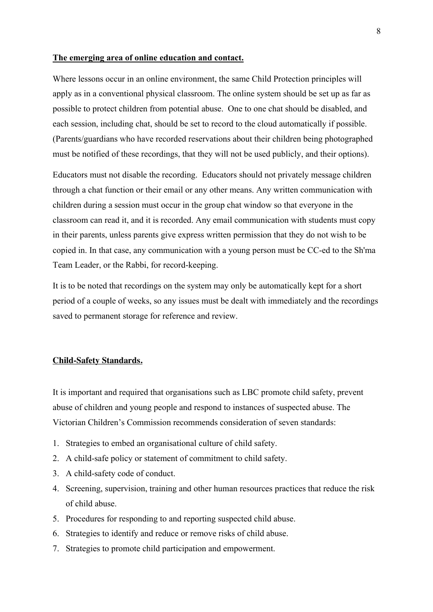#### **The emerging area of online education and contact.**

Where lessons occur in an online environment, the same Child Protection principles will apply as in a conventional physical classroom. The online system should be set up as far as possible to protect children from potential abuse. One to one chat should be disabled, and each session, including chat, should be set to record to the cloud automatically if possible. (Parents/guardians who have recorded reservations about their children being photographed must be notified of these recordings, that they will not be used publicly, and their options).

Educators must not disable the recording. Educators should not privately message children through a chat function or their email or any other means. Any written communication with children during a session must occur in the group chat window so that everyone in the classroom can read it, and it is recorded. Any email communication with students must copy in their parents, unless parents give express written permission that they do not wish to be copied in. In that case, any communication with a young person must be CC-ed to the Sh'ma Team Leader, or the Rabbi, for record-keeping.

It is to be noted that recordings on the system may only be automatically kept for a short period of a couple of weeks, so any issues must be dealt with immediately and the recordings saved to permanent storage for reference and review.

#### **Child-Safety Standards.**

It is important and required that organisations such as LBC promote child safety, prevent abuse of children and young people and respond to instances of suspected abuse. The Victorian Children's Commission recommends consideration of seven standards:

- 1. Strategies to embed an organisational culture of child safety.
- 2. A child-safe policy or statement of commitment to child safety.
- 3. A child-safety code of conduct.
- 4. Screening, supervision, training and other human resources practices that reduce the risk of child abuse.
- 5. Procedures for responding to and reporting suspected child abuse.
- 6. Strategies to identify and reduce or remove risks of child abuse.
- 7. Strategies to promote child participation and empowerment.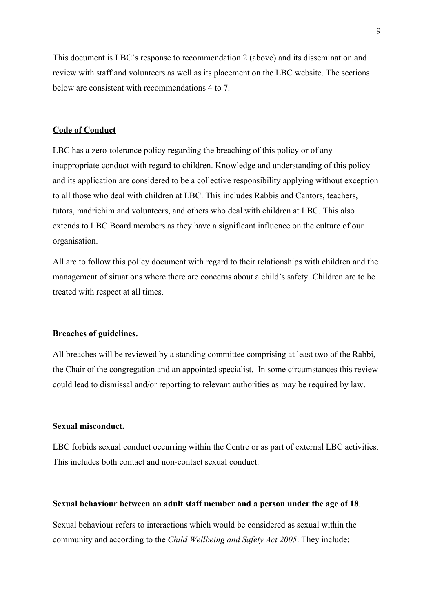This document is LBC's response to recommendation 2 (above) and its dissemination and review with staff and volunteers as well as its placement on the LBC website. The sections below are consistent with recommendations 4 to 7.

#### **Code of Conduct**

LBC has a zero-tolerance policy regarding the breaching of this policy or of any inappropriate conduct with regard to children. Knowledge and understanding of this policy and its application are considered to be a collective responsibility applying without exception to all those who deal with children at LBC. This includes Rabbis and Cantors, teachers, tutors, madrichim and volunteers, and others who deal with children at LBC. This also extends to LBC Board members as they have a significant influence on the culture of our organisation.

All are to follow this policy document with regard to their relationships with children and the management of situations where there are concerns about a child's safety. Children are to be treated with respect at all times.

#### **Breaches of guidelines.**

All breaches will be reviewed by a standing committee comprising at least two of the Rabbi, the Chair of the congregation and an appointed specialist. In some circumstances this review could lead to dismissal and/or reporting to relevant authorities as may be required by law.

#### **Sexual misconduct.**

LBC forbids sexual conduct occurring within the Centre or as part of external LBC activities. This includes both contact and non-contact sexual conduct.

#### **Sexual behaviour between an adult staff member and a person under the age of 18**.

Sexual behaviour refers to interactions which would be considered as sexual within the community and according to the *Child Wellbeing and Safety Act 2005*. They include: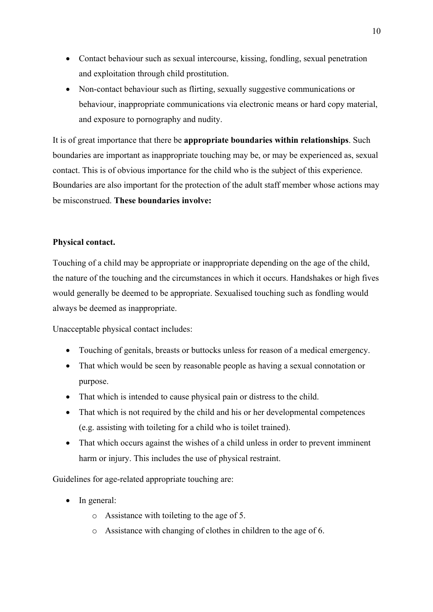- Contact behaviour such as sexual intercourse, kissing, fondling, sexual penetration and exploitation through child prostitution.
- Non-contact behaviour such as flirting, sexually suggestive communications or behaviour, inappropriate communications via electronic means or hard copy material, and exposure to pornography and nudity.

It is of great importance that there be **appropriate boundaries within relationships**. Such boundaries are important as inappropriate touching may be, or may be experienced as, sexual contact. This is of obvious importance for the child who is the subject of this experience. Boundaries are also important for the protection of the adult staff member whose actions may be misconstrued. **These boundaries involve:**

#### **Physical contact.**

Touching of a child may be appropriate or inappropriate depending on the age of the child, the nature of the touching and the circumstances in which it occurs. Handshakes or high fives would generally be deemed to be appropriate. Sexualised touching such as fondling would always be deemed as inappropriate.

Unacceptable physical contact includes:

- Touching of genitals, breasts or buttocks unless for reason of a medical emergency.
- That which would be seen by reasonable people as having a sexual connotation or purpose.
- That which is intended to cause physical pain or distress to the child.
- That which is not required by the child and his or her developmental competences (e.g. assisting with toileting for a child who is toilet trained).
- That which occurs against the wishes of a child unless in order to prevent imminent harm or injury. This includes the use of physical restraint.

Guidelines for age-related appropriate touching are:

- In general:
	- o Assistance with toileting to the age of 5.
	- o Assistance with changing of clothes in children to the age of 6.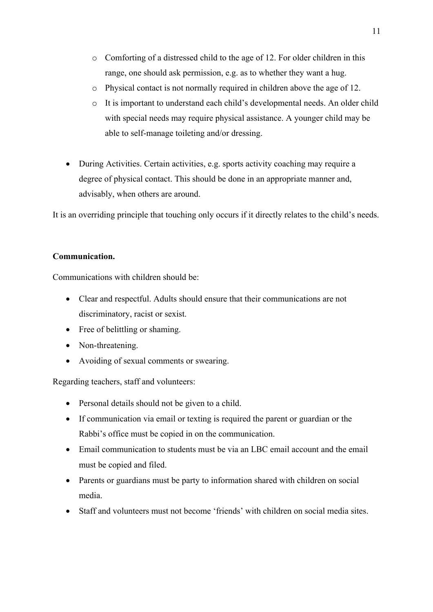- o Comforting of a distressed child to the age of 12. For older children in this range, one should ask permission, e.g. as to whether they want a hug.
- o Physical contact is not normally required in children above the age of 12.
- o It is important to understand each child's developmental needs. An older child with special needs may require physical assistance. A younger child may be able to self-manage toileting and/or dressing.
- During Activities. Certain activities, e.g. sports activity coaching may require a degree of physical contact. This should be done in an appropriate manner and, advisably, when others are around.

It is an overriding principle that touching only occurs if it directly relates to the child's needs.

#### **Communication.**

Communications with children should be:

- Clear and respectful. Adults should ensure that their communications are not discriminatory, racist or sexist.
- Free of belittling or shaming.
- Non-threatening.
- Avoiding of sexual comments or swearing.

Regarding teachers, staff and volunteers:

- Personal details should not be given to a child.
- If communication via email or texting is required the parent or guardian or the Rabbi's office must be copied in on the communication.
- Email communication to students must be via an LBC email account and the email must be copied and filed.
- Parents or guardians must be party to information shared with children on social media.
- Staff and volunteers must not become 'friends' with children on social media sites.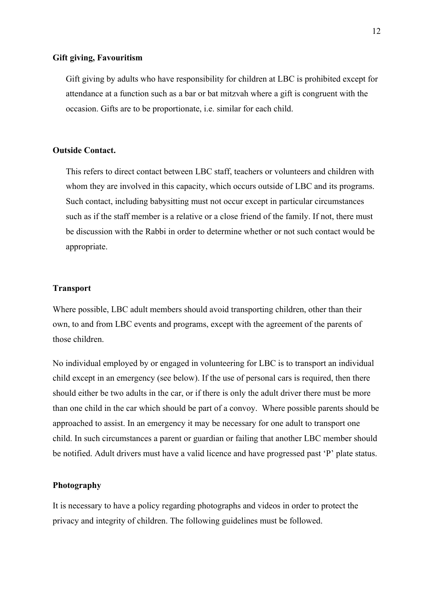#### **Gift giving, Favouritism**

Gift giving by adults who have responsibility for children at LBC is prohibited except for attendance at a function such as a bar or bat mitzvah where a gift is congruent with the occasion. Gifts are to be proportionate, i.e. similar for each child.

#### **Outside Contact.**

This refers to direct contact between LBC staff, teachers or volunteers and children with whom they are involved in this capacity, which occurs outside of LBC and its programs. Such contact, including babysitting must not occur except in particular circumstances such as if the staff member is a relative or a close friend of the family. If not, there must be discussion with the Rabbi in order to determine whether or not such contact would be appropriate.

#### **Transport**

Where possible, LBC adult members should avoid transporting children, other than their own, to and from LBC events and programs, except with the agreement of the parents of those children.

No individual employed by or engaged in volunteering for LBC is to transport an individual child except in an emergency (see below). If the use of personal cars is required, then there should either be two adults in the car, or if there is only the adult driver there must be more than one child in the car which should be part of a convoy. Where possible parents should be approached to assist. In an emergency it may be necessary for one adult to transport one child. In such circumstances a parent or guardian or failing that another LBC member should be notified. Adult drivers must have a valid licence and have progressed past 'P' plate status.

#### **Photography**

It is necessary to have a policy regarding photographs and videos in order to protect the privacy and integrity of children. The following guidelines must be followed.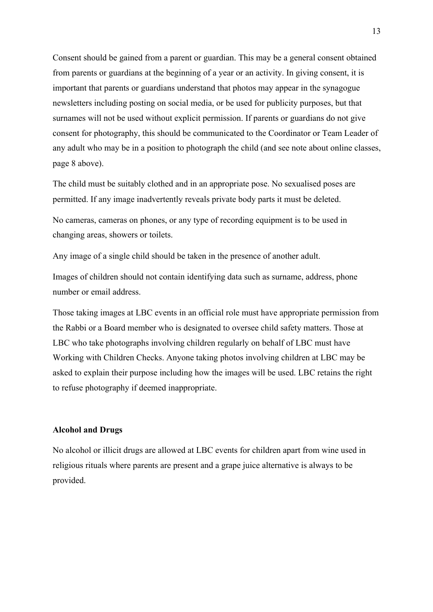Consent should be gained from a parent or guardian. This may be a general consent obtained from parents or guardians at the beginning of a year or an activity. In giving consent, it is important that parents or guardians understand that photos may appear in the synagogue newsletters including posting on social media, or be used for publicity purposes, but that surnames will not be used without explicit permission. If parents or guardians do not give consent for photography, this should be communicated to the Coordinator or Team Leader of any adult who may be in a position to photograph the child (and see note about online classes, page 8 above).

The child must be suitably clothed and in an appropriate pose. No sexualised poses are permitted. If any image inadvertently reveals private body parts it must be deleted.

No cameras, cameras on phones, or any type of recording equipment is to be used in changing areas, showers or toilets.

Any image of a single child should be taken in the presence of another adult.

Images of children should not contain identifying data such as surname, address, phone number or email address.

Those taking images at LBC events in an official role must have appropriate permission from the Rabbi or a Board member who is designated to oversee child safety matters. Those at LBC who take photographs involving children regularly on behalf of LBC must have Working with Children Checks. Anyone taking photos involving children at LBC may be asked to explain their purpose including how the images will be used. LBC retains the right to refuse photography if deemed inappropriate.

#### **Alcohol and Drugs**

No alcohol or illicit drugs are allowed at LBC events for children apart from wine used in religious rituals where parents are present and a grape juice alternative is always to be provided.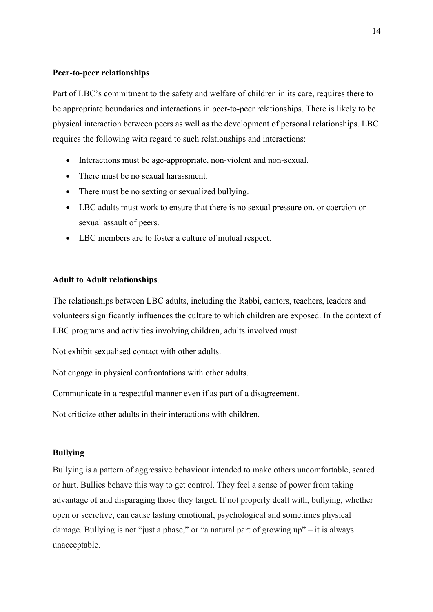#### **Peer-to-peer relationships**

Part of LBC's commitment to the safety and welfare of children in its care, requires there to be appropriate boundaries and interactions in peer-to-peer relationships. There is likely to be physical interaction between peers as well as the development of personal relationships. LBC requires the following with regard to such relationships and interactions:

- Interactions must be age-appropriate, non-violent and non-sexual.
- There must be no sexual harassment.
- There must be no sexting or sexualized bullying.
- LBC adults must work to ensure that there is no sexual pressure on, or coercion or sexual assault of peers.
- LBC members are to foster a culture of mutual respect.

#### **Adult to Adult relationships**.

The relationships between LBC adults, including the Rabbi, cantors, teachers, leaders and volunteers significantly influences the culture to which children are exposed. In the context of LBC programs and activities involving children, adults involved must:

Not exhibit sexualised contact with other adults.

Not engage in physical confrontations with other adults.

Communicate in a respectful manner even if as part of a disagreement.

Not criticize other adults in their interactions with children.

#### **Bullying**

Bullying is a pattern of aggressive behaviour intended to make others uncomfortable, scared or hurt. Bullies behave this way to get control. They feel a sense of power from taking advantage of and disparaging those they target. If not properly dealt with, bullying, whether open or secretive, can cause lasting emotional, psychological and sometimes physical damage. Bullying is not "just a phase," or "a natural part of growing  $up$ " – it is always unacceptable.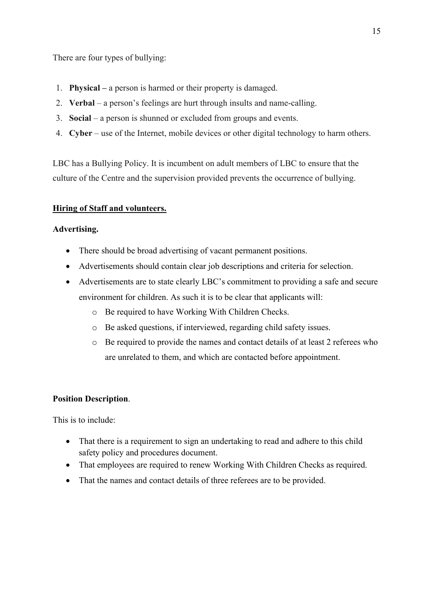There are four types of bullying:

- 1. **Physical –** a person is harmed or their property is damaged.
- 2. **Verbal** a person's feelings are hurt through insults and name-calling.
- 3. **Social** a person is shunned or excluded from groups and events.
- 4. **Cyber** use of the Internet, mobile devices or other digital technology to harm others.

LBC has a Bullying Policy. It is incumbent on adult members of LBC to ensure that the culture of the Centre and the supervision provided prevents the occurrence of bullying.

### **Hiring of Staff and volunteers.**

#### **Advertising.**

- There should be broad advertising of vacant permanent positions.
- Advertisements should contain clear job descriptions and criteria for selection.
- Advertisements are to state clearly LBC's commitment to providing a safe and secure environment for children. As such it is to be clear that applicants will:
	- o Be required to have Working With Children Checks.
	- o Be asked questions, if interviewed, regarding child safety issues.
	- o Be required to provide the names and contact details of at least 2 referees who are unrelated to them, and which are contacted before appointment.

#### **Position Description**.

This is to include:

- That there is a requirement to sign an undertaking to read and adhere to this child safety policy and procedures document.
- That employees are required to renew Working With Children Checks as required.
- That the names and contact details of three referees are to be provided.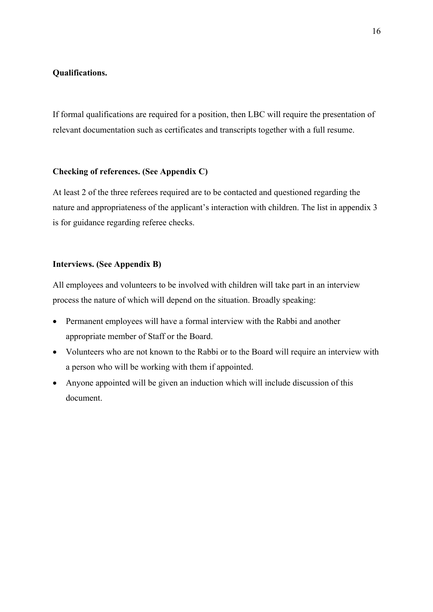#### **Qualifications.**

If formal qualifications are required for a position, then LBC will require the presentation of relevant documentation such as certificates and transcripts together with a full resume.

#### **Checking of references. (See Appendix C)**

At least 2 of the three referees required are to be contacted and questioned regarding the nature and appropriateness of the applicant's interaction with children. The list in appendix 3 is for guidance regarding referee checks.

#### **Interviews. (See Appendix B)**

All employees and volunteers to be involved with children will take part in an interview process the nature of which will depend on the situation. Broadly speaking:

- Permanent employees will have a formal interview with the Rabbi and another appropriate member of Staff or the Board.
- Volunteers who are not known to the Rabbi or to the Board will require an interview with a person who will be working with them if appointed.
- Anyone appointed will be given an induction which will include discussion of this document.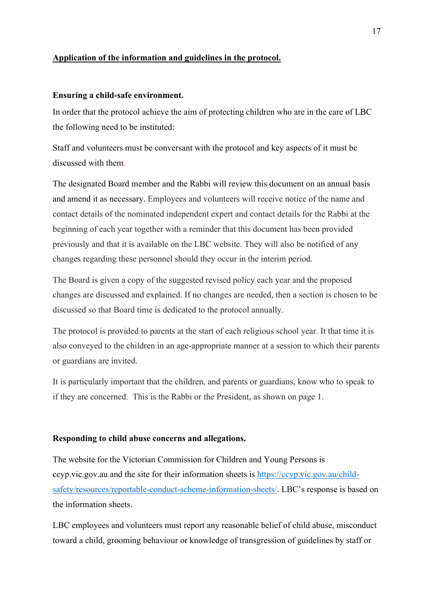#### **Application of the information and guidelines in the protocol.**

#### **Ensuring a child-safe environment.**

In order that the protocol achieve the aim of protecting children who are in the care of LBC the following need to be instituted:

Staff and volunteers must be conversant with the protocol and key aspects of it must be discussed with them.

The designated Board member and the Rabbi will review this document on an annual basis and amend it as necessary. Employees and volunteers will receive notice of the name and contact details of the nominated independent expert and contact details for the Rabbi at the beginning of each year together with a reminder that this document has been provided previously and that it is available on the LBC website. They will also be notified of any changes regarding these personnel should they occur in the interim period.

The Board is given a copy of the suggested revised policy each year and the proposed changes are discussed and explained. If no changes are needed, then a section is chosen to be discussed so that Board time is dedicated to the protocol annually.

The protocol is provided to parents at the start of each religious school year. It that time it is also conveyed to the children in an age-appropriate manner at a session to which their parents or guardians are invited.

It is particularly important that the children, and parents or guardians, know who to speak to if they are concerned. This is the Rabbi or the President, as shown on page 1.

#### **Responding to child abuse concerns and allegations.**

The website for the Victorian Commission for Children and Young Persons is ccyp.vic.gov.au and the site for their information sheets is https://ccyp.vic.gov.au/childsafety/resources/reportable-conduct-scheme-information-sheets/. LBC's response is based on the information sheets.

LBC employees and volunteers must report any reasonable belief of child abuse, misconduct toward a child, grooming behaviour or knowledge of transgression of guidelines by staff or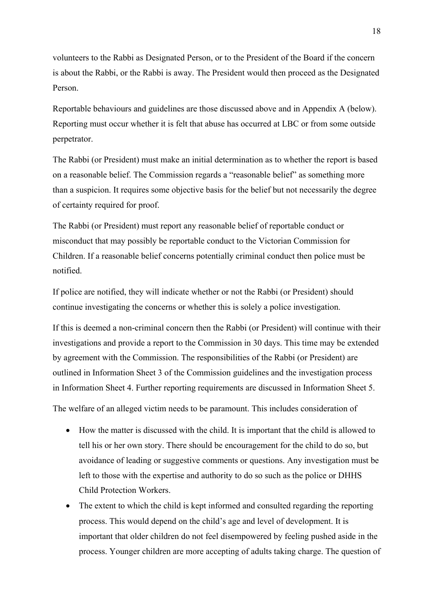volunteers to the Rabbi as Designated Person, or to the President of the Board if the concern is about the Rabbi, or the Rabbi is away. The President would then proceed as the Designated Person.

Reportable behaviours and guidelines are those discussed above and in Appendix A (below). Reporting must occur whether it is felt that abuse has occurred at LBC or from some outside perpetrator.

The Rabbi (or President) must make an initial determination as to whether the report is based on a reasonable belief. The Commission regards a "reasonable belief" as something more than a suspicion. It requires some objective basis for the belief but not necessarily the degree of certainty required for proof.

The Rabbi (or President) must report any reasonable belief of reportable conduct or misconduct that may possibly be reportable conduct to the Victorian Commission for Children. If a reasonable belief concerns potentially criminal conduct then police must be notified.

If police are notified, they will indicate whether or not the Rabbi (or President) should continue investigating the concerns or whether this is solely a police investigation.

If this is deemed a non-criminal concern then the Rabbi (or President) will continue with their investigations and provide a report to the Commission in 30 days. This time may be extended by agreement with the Commission. The responsibilities of the Rabbi (or President) are outlined in Information Sheet 3 of the Commission guidelines and the investigation process in Information Sheet 4. Further reporting requirements are discussed in Information Sheet 5.

The welfare of an alleged victim needs to be paramount. This includes consideration of

- How the matter is discussed with the child. It is important that the child is allowed to tell his or her own story. There should be encouragement for the child to do so, but avoidance of leading or suggestive comments or questions. Any investigation must be left to those with the expertise and authority to do so such as the police or DHHS Child Protection Workers.
- The extent to which the child is kept informed and consulted regarding the reporting process. This would depend on the child's age and level of development. It is important that older children do not feel disempowered by feeling pushed aside in the process. Younger children are more accepting of adults taking charge. The question of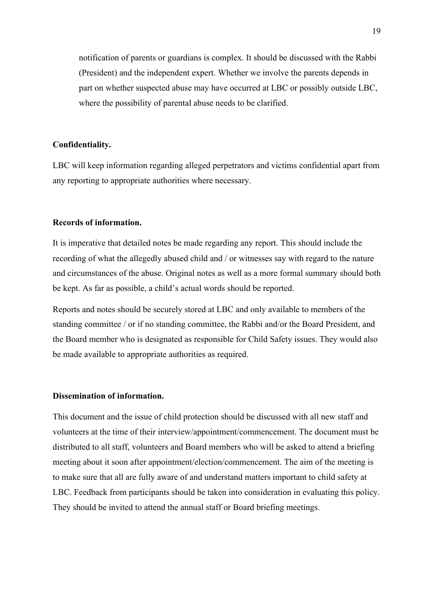notification of parents or guardians is complex. It should be discussed with the Rabbi (President) and the independent expert. Whether we involve the parents depends in part on whether suspected abuse may have occurred at LBC or possibly outside LBC, where the possibility of parental abuse needs to be clarified.

#### **Confidentiality.**

LBC will keep information regarding alleged perpetrators and victims confidential apart from any reporting to appropriate authorities where necessary.

#### **Records of information.**

It is imperative that detailed notes be made regarding any report. This should include the recording of what the allegedly abused child and / or witnesses say with regard to the nature and circumstances of the abuse. Original notes as well as a more formal summary should both be kept. As far as possible, a child's actual words should be reported.

Reports and notes should be securely stored at LBC and only available to members of the standing committee / or if no standing committee, the Rabbi and/or the Board President, and the Board member who is designated as responsible for Child Safety issues. They would also be made available to appropriate authorities as required.

#### **Dissemination of information.**

This document and the issue of child protection should be discussed with all new staff and volunteers at the time of their interview/appointment/commencement. The document must be distributed to all staff, volunteers and Board members who will be asked to attend a briefing meeting about it soon after appointment/election/commencement. The aim of the meeting is to make sure that all are fully aware of and understand matters important to child safety at LBC. Feedback from participants should be taken into consideration in evaluating this policy. They should be invited to attend the annual staff or Board briefing meetings.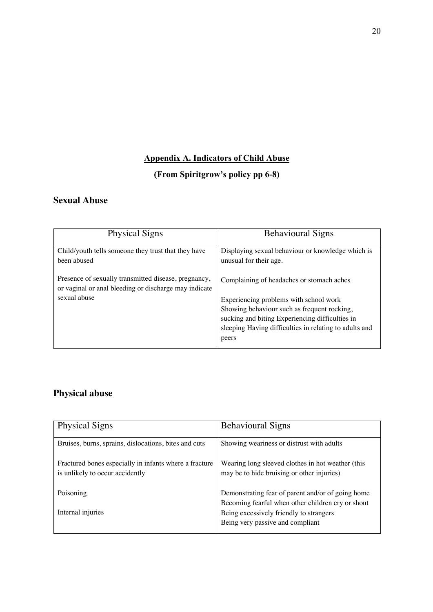## **Appendix A. Indicators of Child Abuse**

## **(From Spiritgrow's policy pp 6-8)**

## **Sexual Abuse**

| <b>Physical Signs</b>                                                                                         | <b>Behavioural Signs</b>                                                    |
|---------------------------------------------------------------------------------------------------------------|-----------------------------------------------------------------------------|
| Child/youth tells someone they trust that they have<br>been abused                                            | Displaying sexual behaviour or knowledge which is<br>unusual for their age. |
| Presence of sexually transmitted disease, pregnancy,<br>or vaginal or anal bleeding or discharge may indicate | Complaining of headaches or stomach aches                                   |
| sexual abuse                                                                                                  | Experiencing problems with school work                                      |
|                                                                                                               | Showing behaviour such as frequent rocking,                                 |
|                                                                                                               | sucking and biting Experiencing difficulties in                             |
|                                                                                                               | sleeping Having difficulties in relating to adults and                      |
|                                                                                                               | peers                                                                       |

## **Physical abuse**

| <b>Physical Signs</b>                                                                     | <b>Behavioural Signs</b>                                                                                                         |
|-------------------------------------------------------------------------------------------|----------------------------------------------------------------------------------------------------------------------------------|
| Bruises, burns, sprains, dislocations, bites and cuts                                     | Showing weariness or distrust with adults                                                                                        |
| Fractured bones especially in infants where a fracture<br>is unlikely to occur accidently | Wearing long sleeved clothes in hot weather (this<br>may be to hide bruising or other injuries)                                  |
| Poisoning                                                                                 | Demonstrating fear of parent and/or of going home                                                                                |
| Internal injuries                                                                         | Becoming fearful when other children cry or shout<br>Being excessively friendly to strangers<br>Being very passive and compliant |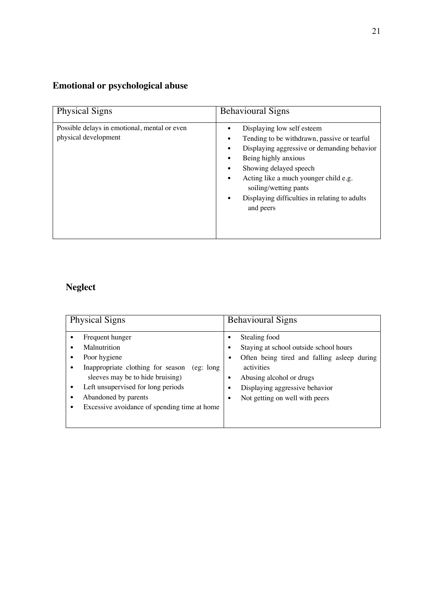## **Emotional or psychological abuse**

| <b>Physical Signs</b>                                                | <b>Behavioural Signs</b>                                                                                                                                                                                                                                                                                   |
|----------------------------------------------------------------------|------------------------------------------------------------------------------------------------------------------------------------------------------------------------------------------------------------------------------------------------------------------------------------------------------------|
| Possible delays in emotional, mental or even<br>physical development | Displaying low self esteem<br>Tending to be withdrawn, passive or tearful<br>Displaying aggressive or demanding behavior<br>Being highly anxious<br>Showing delayed speech<br>Acting like a much younger child e.g.<br>soiling/wetting pants<br>Displaying difficulties in relating to adults<br>and peers |

## **Neglect**

| <b>Physical Signs</b>                                                                                                                                                                                                                                | <b>Behavioural Signs</b>                                                                                                                                                                                                                                    |
|------------------------------------------------------------------------------------------------------------------------------------------------------------------------------------------------------------------------------------------------------|-------------------------------------------------------------------------------------------------------------------------------------------------------------------------------------------------------------------------------------------------------------|
| Frequent hunger<br>Malnutrition<br>Poor hygiene<br>Inappropriate clothing for season<br>(eg: long)<br>sleeves may be to hide bruising)<br>Left unsupervised for long periods<br>Abandoned by parents<br>Excessive avoidance of spending time at home | Stealing food<br>$\bullet$<br>Staying at school outside school hours<br>$\bullet$<br>Often being tired and falling asleep during<br>$\bullet$<br>activities<br>Abusing alcohol or drugs<br>Displaying aggressive behavior<br>Not getting on well with peers |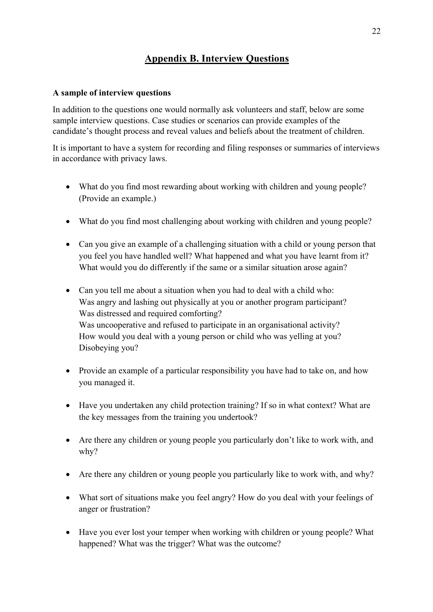## **Appendix B. Interview Questions**

#### **A sample of interview questions**

In addition to the questions one would normally ask volunteers and staff, below are some sample interview questions. Case studies or scenarios can provide examples of the candidate's thought process and reveal values and beliefs about the treatment of children.

It is important to have a system for recording and filing responses or summaries of interviews in accordance with privacy laws.

- What do you find most rewarding about working with children and young people? (Provide an example.)
- What do you find most challenging about working with children and young people?
- Can you give an example of a challenging situation with a child or young person that you feel you have handled well? What happened and what you have learnt from it? What would you do differently if the same or a similar situation arose again?
- Can you tell me about a situation when you had to deal with a child who: Was angry and lashing out physically at you or another program participant? Was distressed and required comforting? Was uncooperative and refused to participate in an organisational activity? How would you deal with a young person or child who was yelling at you? Disobeying you?
- Provide an example of a particular responsibility you have had to take on, and how you managed it.
- Have you undertaken any child protection training? If so in what context? What are the key messages from the training you undertook?
- Are there any children or young people you particularly don't like to work with, and why?
- Are there any children or young people you particularly like to work with, and why?
- What sort of situations make you feel angry? How do you deal with your feelings of anger or frustration?
- Have you ever lost your temper when working with children or young people? What happened? What was the trigger? What was the outcome?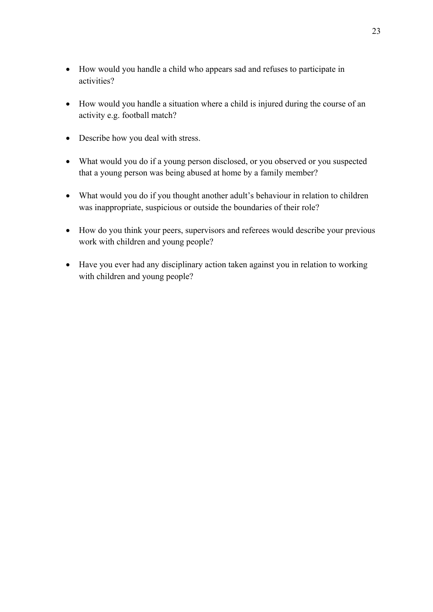- How would you handle a child who appears sad and refuses to participate in activities?
- How would you handle a situation where a child is injured during the course of an activity e.g. football match?
- Describe how you deal with stress.
- What would you do if a young person disclosed, or you observed or you suspected that a young person was being abused at home by a family member?
- What would you do if you thought another adult's behaviour in relation to children was inappropriate, suspicious or outside the boundaries of their role?
- How do you think your peers, supervisors and referees would describe your previous work with children and young people?
- Have you ever had any disciplinary action taken against you in relation to working with children and young people?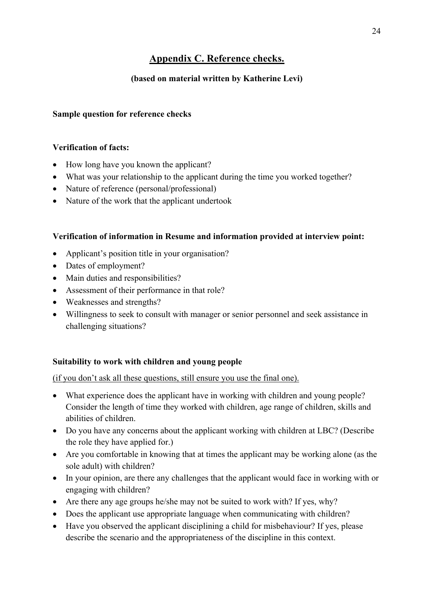## **Appendix C. Reference checks.**

### **(based on material written by Katherine Levi)**

#### **Sample question for reference checks**

#### **Verification of facts:**

- How long have you known the applicant?
- What was your relationship to the applicant during the time you worked together?
- Nature of reference (personal/professional)
- Nature of the work that the applicant undertook

#### **Verification of information in Resume and information provided at interview point:**

- Applicant's position title in your organisation?
- Dates of employment?
- Main duties and responsibilities?
- Assessment of their performance in that role?
- Weaknesses and strengths?
- Willingness to seek to consult with manager or senior personnel and seek assistance in challenging situations?

#### **Suitability to work with children and young people**

(if you don't ask all these questions, still ensure you use the final one).

- What experience does the applicant have in working with children and young people? Consider the length of time they worked with children, age range of children, skills and abilities of children.
- Do you have any concerns about the applicant working with children at LBC? (Describe the role they have applied for.)
- Are you comfortable in knowing that at times the applicant may be working alone (as the sole adult) with children?
- In your opinion, are there any challenges that the applicant would face in working with or engaging with children?
- Are there any age groups he/she may not be suited to work with? If yes, why?
- Does the applicant use appropriate language when communicating with children?
- Have you observed the applicant disciplining a child for misbehaviour? If yes, please describe the scenario and the appropriateness of the discipline in this context.